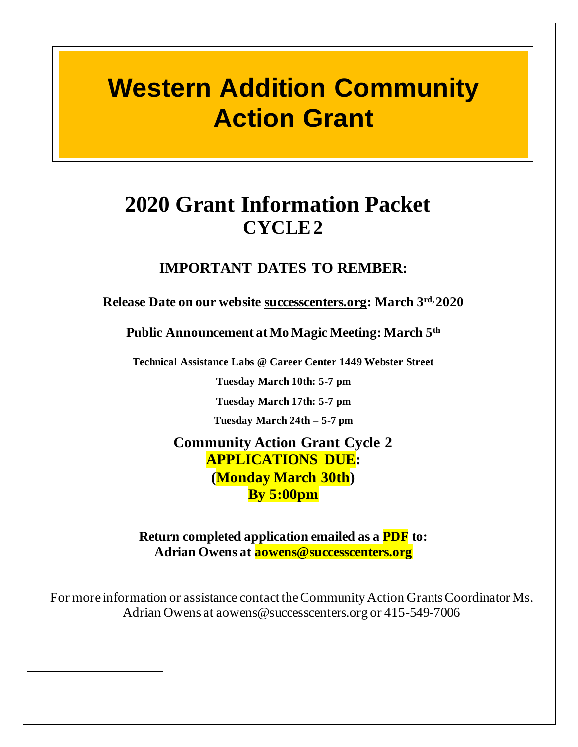# **Western Addition Community Action Grant**

# **2020 Grant Information Packet CYCLE 2**

# **IMPORTANT DATES TO REMBER:**

**Release Date on our website successcenters.org: March 3 rd, 2020**

**Public Announcement at Mo Magic Meeting: March 5th**

**Technical Assistance Labs @ Career Center 1449 Webster Street**

**Tuesday March 10th: 5-7 pm**

**Tuesday March 17th: 5-7 pm**

**Tuesday March 24th – 5-7 pm**

**Community Action Grant Cycle 2 APPLICATIONS DUE: (Monday March 30th) By 5:00pm**

**Return completed application emailed as a PDF to: Adrian Owens at aowens@successcenters.org**

For more information or assistance contact the Community Action Grants Coordinator Ms. Adrian Owens at aowens@successcenters.org or 415-549-7006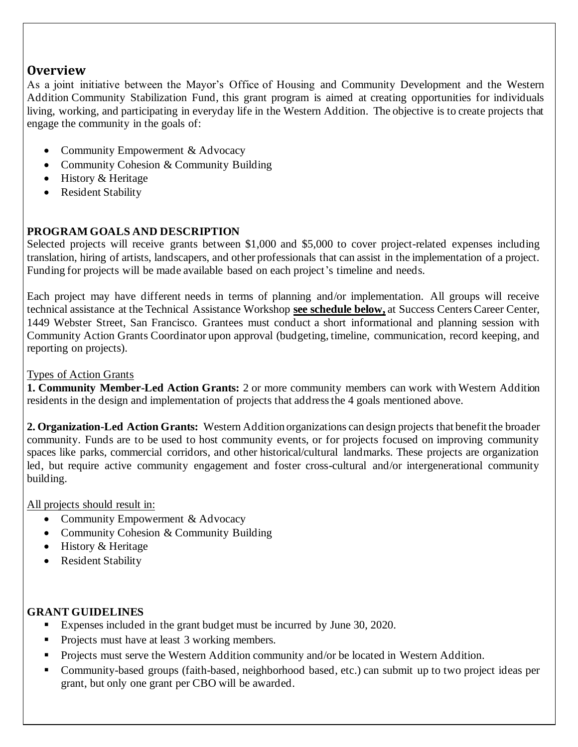## **Overview**

As a joint initiative between the Mayor's Office of Housing and Community Development and the Western Addition Community Stabilization Fund, this grant program is aimed at creating opportunities for individuals living, working, and participating in everyday life in the Western Addition. The objective is to create projects that engage the community in the goals of:

- Community Empowerment & Advocacy
- Community Cohesion & Community Building
- History & Heritage
- Resident Stability

#### **PROGRAM GOALS AND DESCRIPTION**

Selected projects will receive grants between \$1,000 and \$5,000 to cover project-related expenses including translation, hiring of artists, landscapers, and other professionals that can assist in the implementation of a project. Funding for projects will be made available based on each project's timeline and needs.

Each project may have different needs in terms of planning and/or implementation. All groups will receive technical assistance at the Technical Assistance Workshop **see schedule below,** at Success Centers Career Center, 1449 Webster Street, San Francisco. Grantees must conduct a short informational and planning session with Community Action Grants Coordinator upon approval (budgeting, timeline, communication, record keeping, and reporting on projects).

#### Types of Action Grants

**1. Community Member-Led Action Grants:** 2 or more community members can work with Western Addition residents in the design and implementation of projects that address the 4 goals mentioned above.

**2. Organization-Led Action Grants:** Western Addition organizations can design projects that benefit the broader community. Funds are to be used to host community events, or for projects focused on improving community spaces like parks, commercial corridors, and other historical/cultural landmarks. These projects are organization led, but require active community engagement and foster cross-cultural and/or intergenerational community building.

All projects should result in:

- Community Empowerment & Advocacy
- Community Cohesion & Community Building
- History & Heritage
- Resident Stability

#### **GRANT GUIDELINES**

- Expenses included in the grant budget must be incurred by June 30, 2020.
- Projects must have at least 3 working members.
- Projects must serve the Western Addition community and/or be located in Western Addition.
- Community-based groups (faith-based, neighborhood based, etc.) can submit up to two project ideas per grant, but only one grant per CBO will be awarded.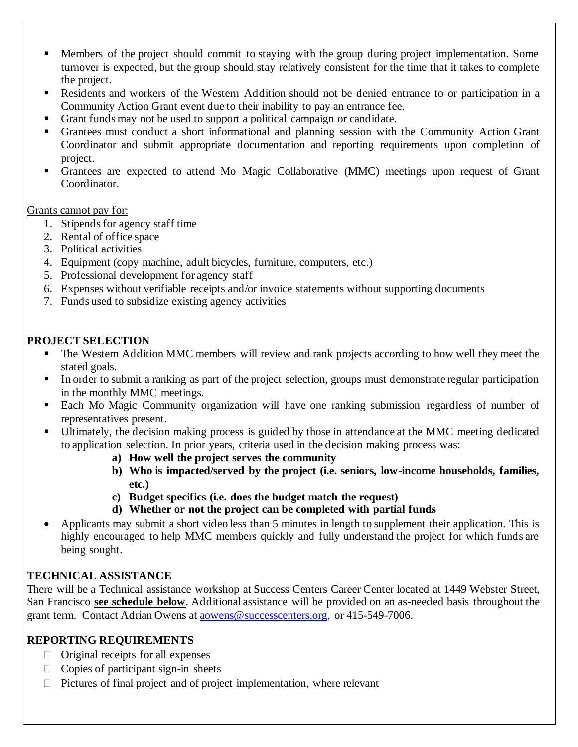- Members of the project should commit to staying with the group during project implementation. Some turnover is expected, but the group should stay relatively consistent for the time that it takes to complete the project.
- Residents and workers of the Western Addition should not be denied entrance to or participation in a Community Action Grant event due to their inability to pay an entrance fee.
- Grant funds may not be used to support a political campaign or candidate.
- Grantees must conduct a short informational and planning session with the Community Action Grant Coordinator and submit appropriate documentation and reporting requirements upon completion of project.
- Grantees are expected to attend Mo Magic Collaborative (MMC) meetings upon request of Grant Coordinator.

#### Grants cannot pay for:

- 1. Stipends for agency staff time
- 2. Rental of office space
- 3. Political activities
- 4. Equipment (copy machine, adult bicycles, furniture, computers, etc.)
- 5. Professional development for agency staff
- 6. Expenses without verifiable receipts and/or invoice statements without supporting documents
- 7. Funds used to subsidize existing agency activities

#### **PROJECT SELECTION**

- The Western Addition MMC members will review and rank projects according to how well they meet the stated goals.
- In order to submit a ranking as part of the project selection, groups must demonstrate regular participation in the monthly MMC meetings.
- Each Mo Magic Community organization will have one ranking submission regardless of number of representatives present.
- Ultimately, the decision making process is guided by those in attendance at the MMC meeting dedicated to application selection. In prior years, criteria used in the decision making process was:
	- **a) How well the project serves the community**
	- **b) Who is impacted/served by the project (i.e. seniors, low-income households, families, etc.)**
	- **c) Budget specifics (i.e. does the budget match the request)**
	- **d) Whether or not the project can be completed with partial funds**
- Applicants may submit a short video less than 5 minutes in length to supplement their application. This is highly encouraged to help MMC members quickly and fully understand the project for which funds are being sought.

#### **TECHNICAL ASSISTANCE**

There will be a Technical assistance workshop at Success Centers Career Center located at 1449 Webster Street, San Francisco **see schedule below**. Additional assistance will be provided on an as-needed basis throughout the grant term. Contact Adrian Owens at aowens@successcenters.org, or 415-549-7006.

#### **REPORTING REQUIREMENTS**

- $\Box$  Original receipts for all expenses
- $\Box$  Copies of participant sign-in sheets
- $\Box$  Pictures of final project and of project implementation, where relevant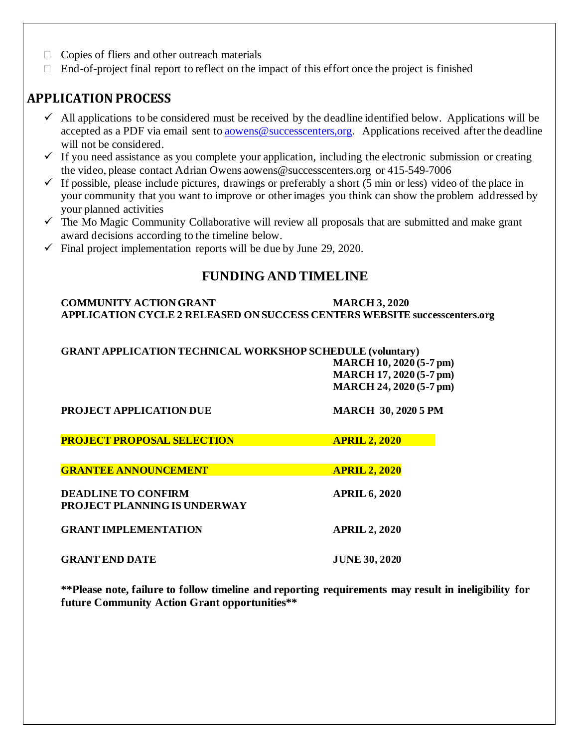- $\Box$  Copies of fliers and other outreach materials
- $\Box$  End-of-project final report to reflect on the impact of this effort once the project is finished

## **APPLICATION PROCESS**

- $\checkmark$  All applications to be considered must be received by the deadline identified below. Applications will be accepted as a PDF via email sent to aowens@successcenters,org. Applications received after the deadline will not be considered.
- $\checkmark$  If you need assistance as you complete your application, including the electronic submission or creating the video, please contact Adrian Owens aowens@successcenters.org or 415-549-7006
- $\checkmark$  If possible, please include pictures, drawings or preferably a short (5 min or less) video of the place in your community that you want to improve or other images you think can show the problem addressed by your planned activities
- $\checkmark$  The Mo Magic Community Collaborative will review all proposals that are submitted and make grant award decisions according to the timeline below.
- $\checkmark$  Final project implementation reports will be due by June 29, 2020.

#### **FUNDING AND TIMELINE**

#### **COMMUNITY ACTION GRANT MARCH 3, 2020 APPLICATION CYCLE 2 RELEASED ON SUCCESS CENTERS WEBSITE successcenters.org**

#### **GRANT APPLICATION TECHNICAL WORKSHOP SCHEDULE (voluntary) MARCH 10, 2020 (5-7 pm) MARCH 17, 2020 (5-7 pm) MARCH 24, 2020 (5-7 pm)**

| <b>PROJECT APPLICATION DUE</b>                                    | <b>MARCH 30, 2020 5 PM</b> |
|-------------------------------------------------------------------|----------------------------|
| <b>PROJECT PROPOSAL SELECTION</b>                                 | <b>APRIL 2, 2020</b>       |
| <b>GRANTEE ANNOUNCEMENT</b>                                       | <b>APRIL 2, 2020</b>       |
| <b>DEADLINE TO CONFIRM</b><br><b>PROJECT PLANNING IS UNDERWAY</b> | <b>APRIL 6, 2020</b>       |
| <b>GRANT IMPLEMENTATION</b>                                       | <b>APRIL 2, 2020</b>       |
| <b>GRANT END DATE</b>                                             | <b>JUNE 30, 2020</b>       |

**\*\*Please note, failure to follow timeline and reporting requirements may result in ineligibility for future Community Action Grant opportunities\*\***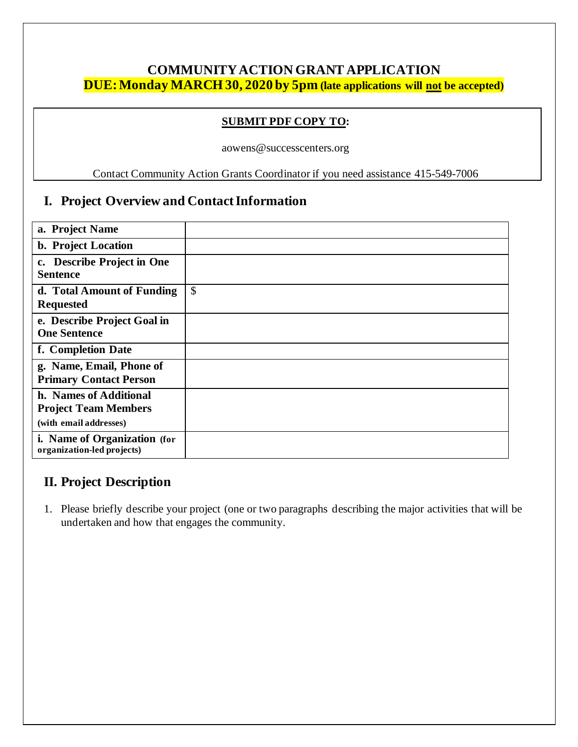## **COMMUNITY ACTION GRANT APPLICATION DUE:Monday MARCH 30, 2020 by 5pm (late applications will not be accepted)**

#### **SUBMIT PDF COPY TO:**

aowens@successcenters.org

Contact Community Action Grants Coordinator if you need assistance 415-549-7006

#### **I. Project Overview and Contact Information**

| a. Project Name                                                                 |               |
|---------------------------------------------------------------------------------|---------------|
| b. Project Location                                                             |               |
| <b>Describe Project in One</b><br>$c_{\bullet}$<br><b>Sentence</b>              |               |
| d. Total Amount of Funding<br><b>Requested</b>                                  | $\mathcal{S}$ |
| e. Describe Project Goal in<br><b>One Sentence</b>                              |               |
| f. Completion Date                                                              |               |
| g. Name, Email, Phone of<br><b>Primary Contact Person</b>                       |               |
| h. Names of Additional<br><b>Project Team Members</b><br>(with email addresses) |               |
| i. Name of Organization (for<br>organization-led projects)                      |               |

#### **II. Project Description**

1. Please briefly describe your project (one or two paragraphs describing the major activities that will be undertaken and how that engages the community.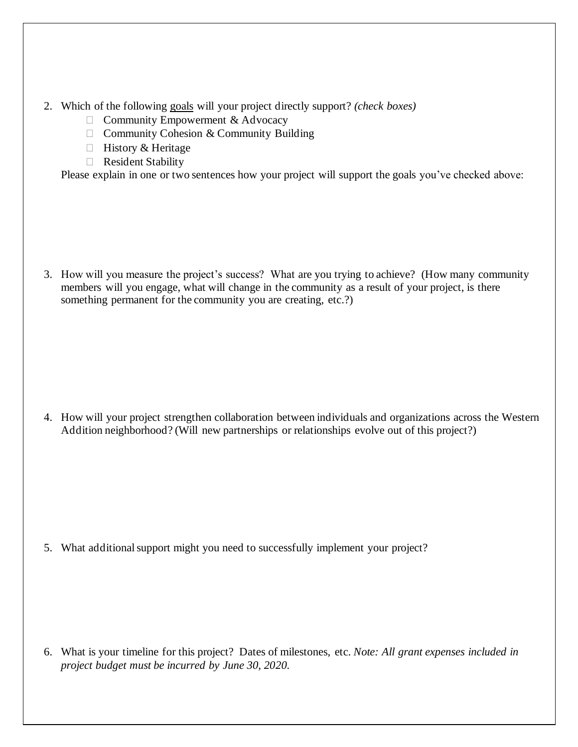- 2. Which of the following goals will your project directly support? *(check boxes)*
	- $\Box$  Community Empowerment & Advocacy
	- $\Box$  Community Cohesion & Community Building
	- $\Box$  History & Heritage
	- Resident Stability

Please explain in one or two sentences how your project will support the goals you've checked above:

3. How will you measure the project's success? What are you trying to achieve? (How many community members will you engage, what will change in the community as a result of your project, is there something permanent for the community you are creating, etc.?)

4. How will your project strengthen collaboration between individuals and organizations across the Western Addition neighborhood? (Will new partnerships or relationships evolve out of this project?)

5. What additional support might you need to successfully implement your project?

6. What is your timeline for this project? Dates of milestones, etc. *Note: All grant expenses included in project budget must be incurred by June 30, 2020.*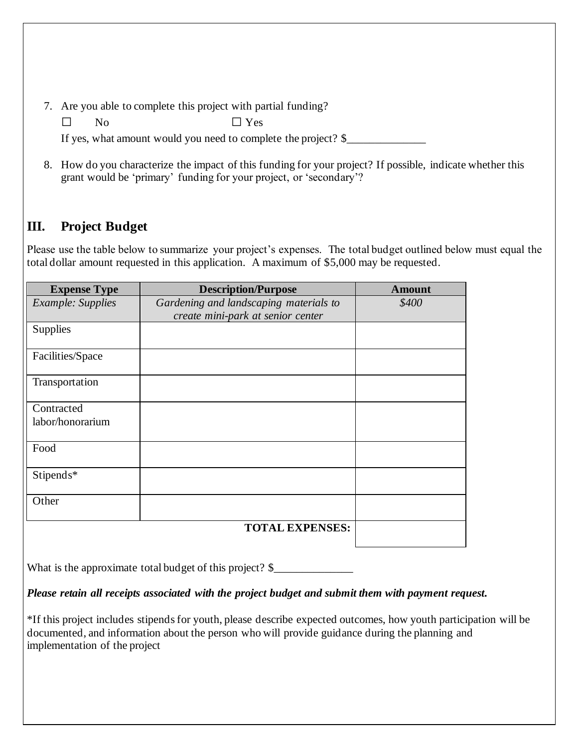- 7. Are you able to complete this project with partial funding?
	- No Yes

If yes, what amount would you need to complete the project? \$\_\_\_\_\_\_\_\_\_\_\_\_\_\_\_\_\_\_\_

8. How do you characterize the impact of this funding for your project? If possible, indicate whether this grant would be 'primary' funding for your project, or 'secondary'?

# **III. Project Budget**

Please use the table below to summarize your project's expenses. The total budget outlined below must equal the total dollar amount requested in this application. A maximum of \$5,000 may be requested.

| <b>Expense Type</b>      | <b>Description/Purpose</b>             | <b>Amount</b> |
|--------------------------|----------------------------------------|---------------|
| <b>Example:</b> Supplies | Gardening and landscaping materials to | \$400         |
|                          | create mini-park at senior center      |               |
| <b>Supplies</b>          |                                        |               |
| Facilities/Space         |                                        |               |
| Transportation           |                                        |               |
| Contracted               |                                        |               |
| labor/honorarium         |                                        |               |
| Food                     |                                        |               |
| Stipends*                |                                        |               |
| Other                    |                                        |               |
|                          | <b>TOTAL EXPENSES:</b>                 |               |

What is the approximate total budget of this project? \$\_\_\_\_\_\_\_\_\_\_\_\_\_\_\_\_\_\_\_\_\_\_\_\_\_

#### *Please retain all receipts associated with the project budget and submit them with payment request.*

\*If this project includes stipends for youth, please describe expected outcomes, how youth participation will be documented, and information about the person who will provide guidance during the planning and implementation of the project